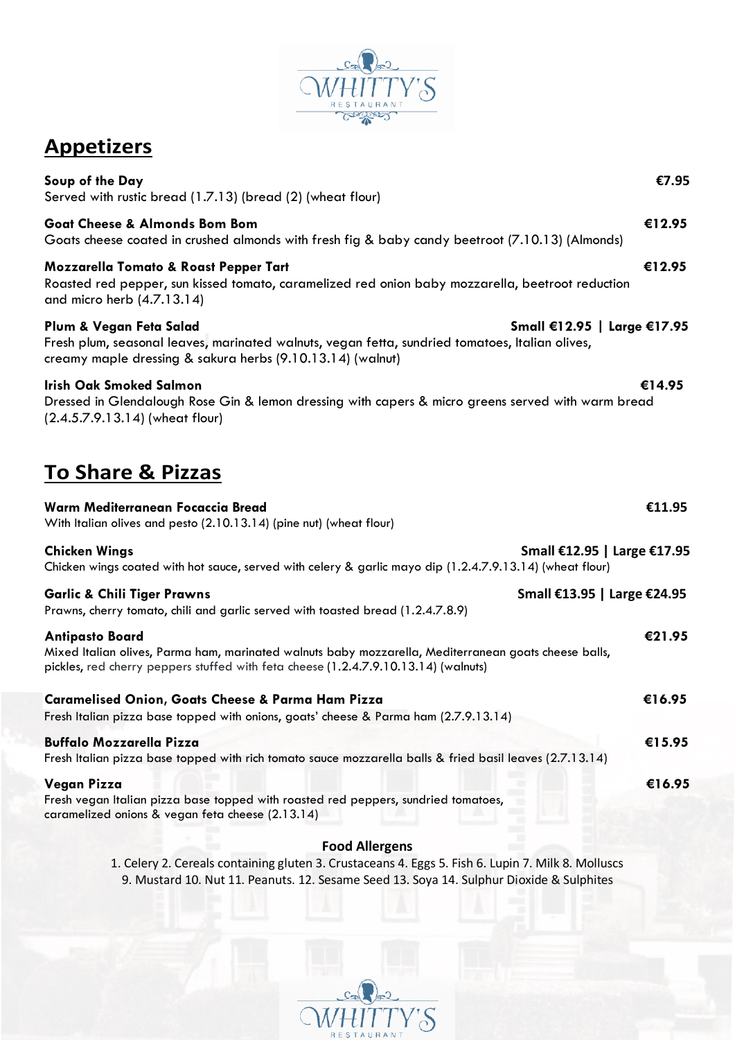

## **Appetizers**

| Soup of the Day<br>Served with rustic bread (1.7.13) (bread (2) (wheat flour)                                                                                                                                           | €7.95  |
|-------------------------------------------------------------------------------------------------------------------------------------------------------------------------------------------------------------------------|--------|
| <b>Goat Cheese &amp; Almonds Bom Bom</b><br>Goats cheese coated in crushed almonds with fresh fig & baby candy beetroot (7.10.13) (Almonds)                                                                             | €12.95 |
| <b>Mozzarella Tomato &amp; Roast Pepper Tart</b><br>Roasted red pepper, sun kissed tomato, caramelized red onion baby mozzarella, beetroot reduction<br>and micro herb (4.7.13.14)                                      | €12.95 |
| Small €12.95   Large €17.95<br>Plum & Vegan Feta Salad<br>Fresh plum, seasonal leaves, marinated walnuts, vegan fetta, sundried tomatoes, Italian olives,<br>creamy maple dressing & sakura herbs (9.10.13.14) (walnut) |        |
| <b>Irish Oak Smoked Salmon</b><br>Dressed in Glendalough Rose Gin & lemon dressing with capers & micro greens served with warm bread<br>(2.4.5.7.9.13.14) (wheat flour)                                                 | €14.95 |
| <b>To Share &amp; Pizzas</b>                                                                                                                                                                                            |        |
| Warm Mediterranean Focaccia Bread<br>With Italian olives and pesto (2.10.13.14) (pine nut) (wheat flour)                                                                                                                | €11.95 |
| Small €12.95   Large €17.95<br><b>Chicken Wings</b><br>Chicken wings coated with hot sauce, served with celery & garlic mayo dip (1.2.4.7.9.13.14) (wheat flour)                                                        |        |
| Small €13.95   Large €24.95<br><b>Garlic &amp; Chili Tiger Prawns</b><br>Prawns, cherry tomato, chili and garlic served with toasted bread (1.2.4.7.8.9)                                                                |        |
| <b>Antipasto Board</b><br>Mixed Italian olives, Parma ham, marinated walnuts baby mozzarella, Mediterranean goats cheese balls,<br>pickles, red cherry peppers stuffed with feta cheese (1.2.4.7.9.10.13.14) (walnuts)  | €21.95 |
| <b>Caramelised Onion, Goats Cheese &amp; Parma Ham Pizza</b><br>Fresh Italian pizza base topped with onions, goats' cheese & Parma ham (2.7.9.13.14)                                                                    | €16.95 |
| <b>Buffalo Mozzarella Pizza</b><br>Fresh Italian pizza base topped with rich tomato sauce mozzarella balls & fried basil leaves (2.7.13.14)                                                                             | €15.95 |
| Vegan Pizza<br>Fresh vegan Italian pizza base topped with roasted red peppers, sundried tomatoes,<br>caramelized onions & vegan feta cheese (2.13.14)                                                                   | €16.95 |
|                                                                                                                                                                                                                         |        |

## **Food Allergens**

1. Celery 2. Cereals containing gluten 3. Crustaceans 4. Eggs 5. Fish 6. Lupin 7. Milk 8. Molluscs 9. Mustard 10. Nut 11. Peanuts. 12. Sesame Seed 13. Soya 14. Sulphur Dioxide & Sulphites